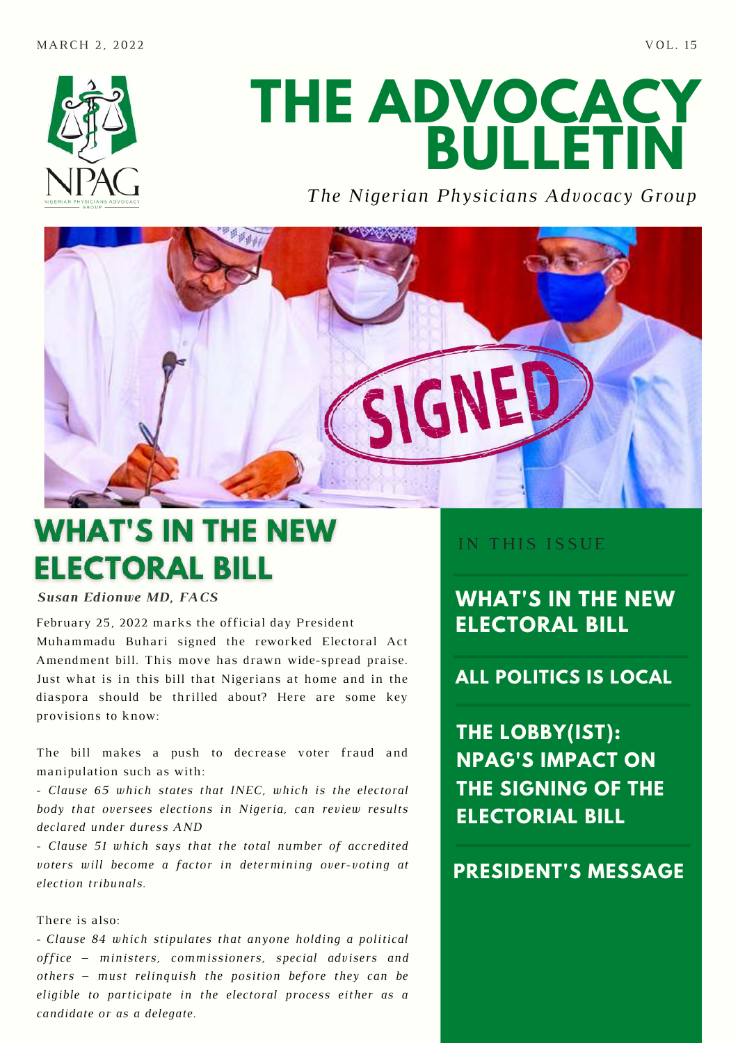

# **THE ADVOCACY BULLETIN**

*The Nigerian Physicians Advocacy Group*



# **WHAT'S IN THE NEW ELECTORAL BILL**

*Susan Edionwe MD, FACS*

February 25, 2022 marks the official day President [Muhammadu](https://en.wikipedia.org/wiki/Muhammadu_Buhari) Buhari signed the reworked Electoral Act Amendment bill. This move has drawn wide-spread praise. Just what is in this bill that Nigerians at home and in the diaspora should be thrilled about? Here are some key provisions to know:

The bill makes a push to decrease voter fraud and manipulation such as with:

- *Clause 65 which states that INEC, which is the electoral body that oversees elections in Nigeria, can review results declared under duress AND*

*- Clause 51 which says that the total number of accredited voters will become a factor in determining over-voting at election tribunals.*

#### There is also:

- *Clause 84 which stipulates that anyone holding a political office – ministers, commissioners, special advisers and others – must relinquish the position before they can be eligible to participate in the electoral process either as a candidate or as a delegate.*

IN THIS ISSUE

**WHAT'S IN THE NEW ELECTORAL BILL**

**ALL POLITICS IS LOCAL**

**THE LOBBY(IST): NPAG'S IMPACT ON THE SIGNING OF THE ELECTORIAL BILL**

### **PRESIDENT'S MESSAGE**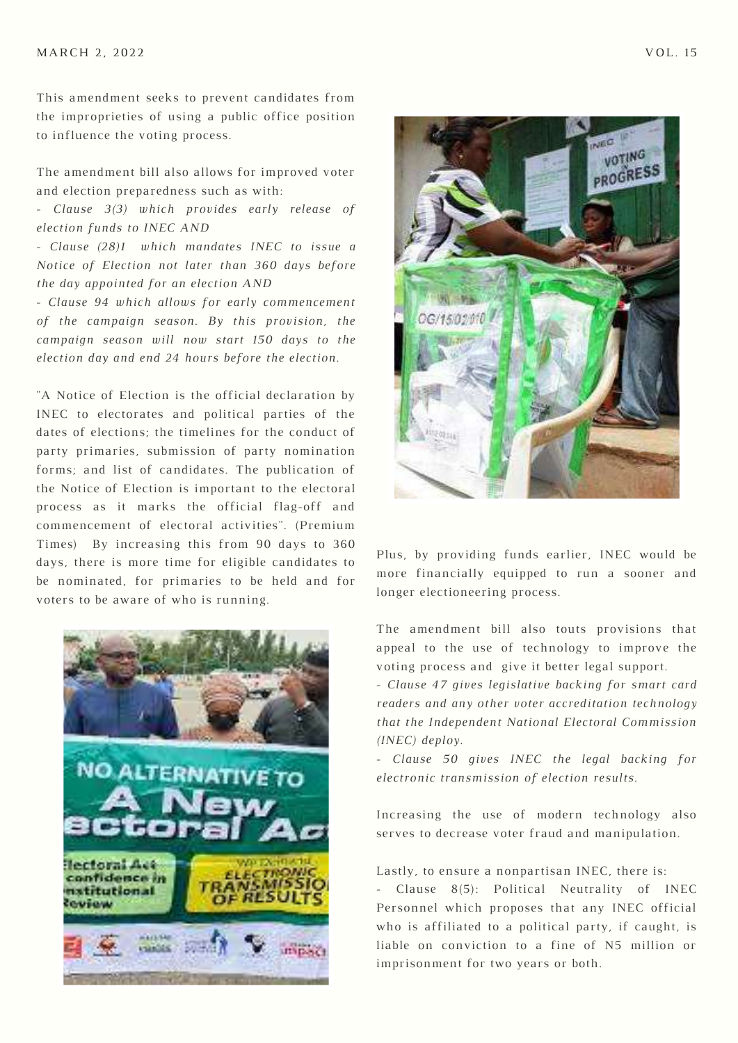This amendment seeks to prevent candidates from the improprieties of using a public office position to influence the voting process.

The amendment bill also allows for improved voter and election preparedness such as with:

*- Clause 3(3) which provides early release of election funds to INEC AND*

*- Clause (28)1 which mandates INEC to issue a Notice of Election not later than 360 days before the day appointed for an election AND*

*- Clause 94 which allows for early commencement of the campaign season. By this provision, the campaign season will now start 150 days to the election day and end 24 hours before the election.*

"A Notice of Election is the official declaration by INEC to electorates and political parties of the dates of elections; the timelines for the conduct of party primaries, submission of party nomination forms; and list of candidates. The publication of the Notice of Election is important to the electoral process as it marks the official flag-off and commencement of electoral activities". (Premium Times) By increasing this from 90 days to 360 days, there is more time for eligible candidates to be nominated, for primaries to be held and for voters to be aware of who is running.





Plus, by providing funds earlier, INEC would be more financially equipped to run a sooner and longer electioneering process.

The amendment bill also touts provisions that appeal to the use of technology to improve the voting process and give it better legal support.

*- Clause 47 gives legislative backing for smart card readers and any other voter accreditation technology that the Independent National Electoral Commission (INEC) deploy.*

*- Clause 50 gives INEC the legal backing for electronic transmission of election results.*

Increasing the use of modern technology also serves to decrease voter fraud and manipulation.

Lastly, to ensure a nonpartisan INEC, there is:

- Clause 8(5): Political Neutrality of INEC Personnel which proposes that any INEC official who is affiliated to a political party, if caught, is liable on conviction to a fine of N5 million or imprisonment for two years or both.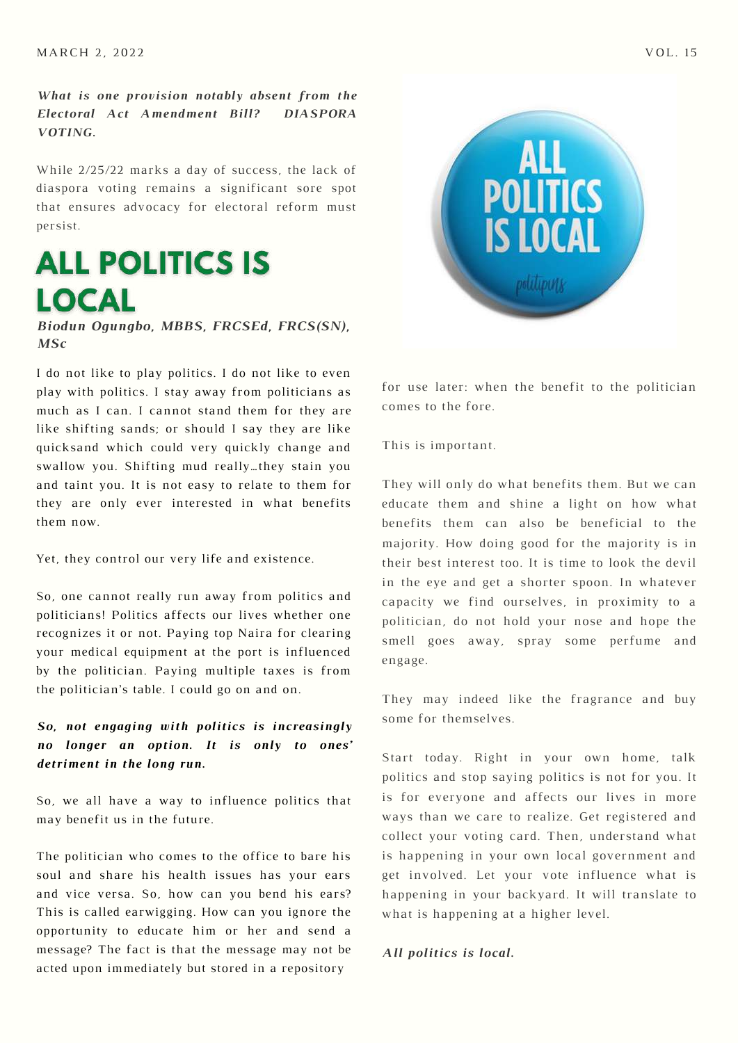*What is one provision notably absent from the Electoral Act Amendment Bill? DIASPORA VOTING.*

While 2/25/22 marks a day of success, the lack of diaspora voting remains a significant sore spot that ensures advocacy for electoral reform must persist.

## **ALL POLITICS IS LOCAL**

*Biodun Ogungbo, MBBS, FRCSEd, FRCS(SN), MSc*

I do not like to play politics. I do not like to even play with politics. I stay away from politicians as much as I can. I cannot stand them for they are like shifting sands; or should I say they are like quicksand which could very quickly change and swallow you. Shifting mud really…they stain you and taint you. It is not easy to relate to them for they are only ever interested in what benefits them now.

Yet, they control our very life and existence.

So, one cannot really run away from politics and politicians! Politics affects our lives whether one recognizes it or not. Paying top Naira for clearing your medical equipment at the port is influenced by the politician. Paying multiple taxes is from the politician's table. I could go on and on.

#### *So, not engaging with politics is increasingly no longer an option. It is only to ones' detriment in the long run.*

So, we all have a way to influence politics that may benefit us in the future.

The politician who comes to the office to bare his soul and share his health issues has your ears and vice versa. So, how can you bend his ears? This is called earwigging. How can you ignore the opportunity to educate him or her and send a message? The fact is that the message may not be acted upon immediately but stored in a repository



for use later: when the benefit to the politician comes to the fore.

This is important.

They will only do what benefits them. But we can educate them and shine a light on how what benefits them can also be beneficial to the majority. How doing good for the majority is in their best interest too. It is time to look the devil in the eye and get a shorter spoon. In whatever capacity we find ourselves, in proximity to a politician, do not hold your nose and hope the smell goes away, spray some perfume and engage.

They may indeed like the fragrance and buy some for themselves.

Start today. Right in your own home, talk politics and stop saying politics is not for you. It is for everyone and affects our lives in more ways than we care to realize. Get registered and collect your voting card. Then, understand what is happening in your own local government and get involved. Let your vote influence what is happening in your backyard. It will translate to what is happening at a higher level.

#### *All politics is local.*